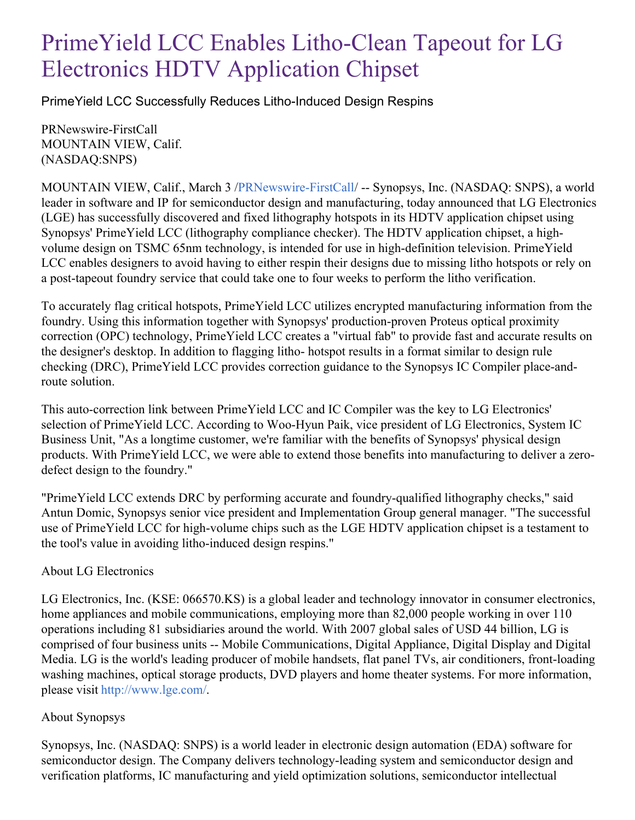## PrimeYield LCC Enables Litho-Clean Tapeout for LG Electronics HDTV Application Chipset

PrimeYield LCC Successfully Reduces Litho-Induced Design Respins

PRNewswire-FirstCall MOUNTAIN VIEW, Calif. (NASDAQ:SNPS)

MOUNTAIN VIEW, Calif., March 3 [/PRNewswire-FirstCall](http://www.prnewswire.com/)/ -- Synopsys, Inc. (NASDAQ: SNPS), a world leader in software and IP for semiconductor design and manufacturing, today announced that LG Electronics (LGE) has successfully discovered and fixed lithography hotspots in its HDTV application chipset using Synopsys' PrimeYield LCC (lithography compliance checker). The HDTV application chipset, a highvolume design on TSMC 65nm technology, is intended for use in high-definition television. PrimeYield LCC enables designers to avoid having to either respin their designs due to missing litho hotspots or rely on a post-tapeout foundry service that could take one to four weeks to perform the litho verification.

To accurately flag critical hotspots, PrimeYield LCC utilizes encrypted manufacturing information from the foundry. Using this information together with Synopsys' production-proven Proteus optical proximity correction (OPC) technology, PrimeYield LCC creates a "virtual fab" to provide fast and accurate results on the designer's desktop. In addition to flagging litho- hotspot results in a format similar to design rule checking (DRC), PrimeYield LCC provides correction guidance to the Synopsys IC Compiler place-androute solution.

This auto-correction link between PrimeYield LCC and IC Compiler was the key to LG Electronics' selection of PrimeYield LCC. According to Woo-Hyun Paik, vice president of LG Electronics, System IC Business Unit, "As a longtime customer, we're familiar with the benefits of Synopsys' physical design products. With PrimeYield LCC, we were able to extend those benefits into manufacturing to deliver a zerodefect design to the foundry."

"PrimeYield LCC extends DRC by performing accurate and foundry-qualified lithography checks," said Antun Domic, Synopsys senior vice president and Implementation Group general manager. "The successful use of PrimeYield LCC for high-volume chips such as the LGE HDTV application chipset is a testament to the tool's value in avoiding litho-induced design respins."

## About LG Electronics

LG Electronics, Inc. (KSE: 066570.KS) is a global leader and technology innovator in consumer electronics, home appliances and mobile communications, employing more than 82,000 people working in over 110 operations including 81 subsidiaries around the world. With 2007 global sales of USD 44 billion, LG is comprised of four business units -- Mobile Communications, Digital Appliance, Digital Display and Digital Media. LG is the world's leading producer of mobile handsets, flat panel TVs, air conditioners, front-loading washing machines, optical storage products, DVD players and home theater systems. For more information, please visit <http://www.lge.com/>.

## About Synopsys

Synopsys, Inc. (NASDAQ: SNPS) is a world leader in electronic design automation (EDA) software for semiconductor design. The Company delivers technology-leading system and semiconductor design and verification platforms, IC manufacturing and yield optimization solutions, semiconductor intellectual